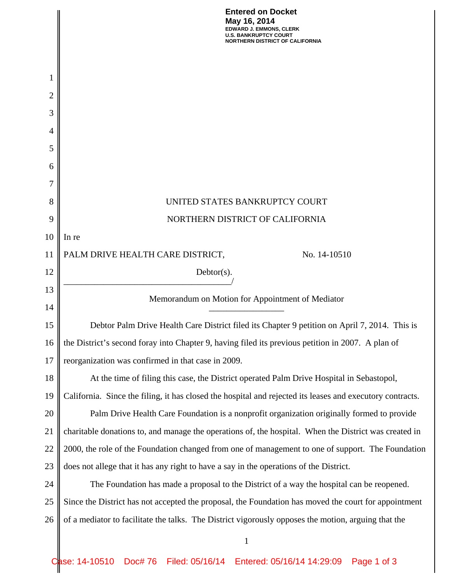|                | <b>Entered on Docket</b><br>May 16, 2014<br>EDWARD J. EMMONS, CLERK<br><b>U.S. BANKRUPTCY COURT</b><br><b>NORTHERN DISTRICT OF CALIFORNIA</b> |  |  |  |  |  |
|----------------|-----------------------------------------------------------------------------------------------------------------------------------------------|--|--|--|--|--|
|                |                                                                                                                                               |  |  |  |  |  |
| 1              |                                                                                                                                               |  |  |  |  |  |
| $\overline{c}$ |                                                                                                                                               |  |  |  |  |  |
| 3              |                                                                                                                                               |  |  |  |  |  |
| 4              |                                                                                                                                               |  |  |  |  |  |
| 5              |                                                                                                                                               |  |  |  |  |  |
| 6              |                                                                                                                                               |  |  |  |  |  |
| 7              |                                                                                                                                               |  |  |  |  |  |
| 8              | UNITED STATES BANKRUPTCY COURT                                                                                                                |  |  |  |  |  |
| 9              | NORTHERN DISTRICT OF CALIFORNIA                                                                                                               |  |  |  |  |  |
| 10             | In re                                                                                                                                         |  |  |  |  |  |
| 11             | PALM DRIVE HEALTH CARE DISTRICT,<br>No. 14-10510                                                                                              |  |  |  |  |  |
| 12             | $Debtor(s)$ .                                                                                                                                 |  |  |  |  |  |
| 13             |                                                                                                                                               |  |  |  |  |  |
| 14             | Memorandum on Motion for Appointment of Mediator                                                                                              |  |  |  |  |  |
| 15             | Debtor Palm Drive Health Care District filed its Chapter 9 petition on April 7, 2014. This is                                                 |  |  |  |  |  |
| 16             | the District's second foray into Chapter 9, having filed its previous petition in 2007. A plan of                                             |  |  |  |  |  |
| 17             | reorganization was confirmed in that case in 2009.                                                                                            |  |  |  |  |  |
| 18             | At the time of filing this case, the District operated Palm Drive Hospital in Sebastopol,                                                     |  |  |  |  |  |
| 19             | California. Since the filing, it has closed the hospital and rejected its leases and executory contracts.                                     |  |  |  |  |  |
| 20             | Palm Drive Health Care Foundation is a nonprofit organization originally formed to provide                                                    |  |  |  |  |  |
| 21             | charitable donations to, and manage the operations of, the hospital. When the District was created in                                         |  |  |  |  |  |
| 22             | 2000, the role of the Foundation changed from one of management to one of support. The Foundation                                             |  |  |  |  |  |
| 23             | does not allege that it has any right to have a say in the operations of the District.                                                        |  |  |  |  |  |
| 24             | The Foundation has made a proposal to the District of a way the hospital can be reopened.                                                     |  |  |  |  |  |
| 25             | Since the District has not accepted the proposal, the Foundation has moved the court for appointment                                          |  |  |  |  |  |
| 26             | of a mediator to facilitate the talks. The District vigorously opposes the motion, arguing that the                                           |  |  |  |  |  |
|                | $\mathbf{1}$                                                                                                                                  |  |  |  |  |  |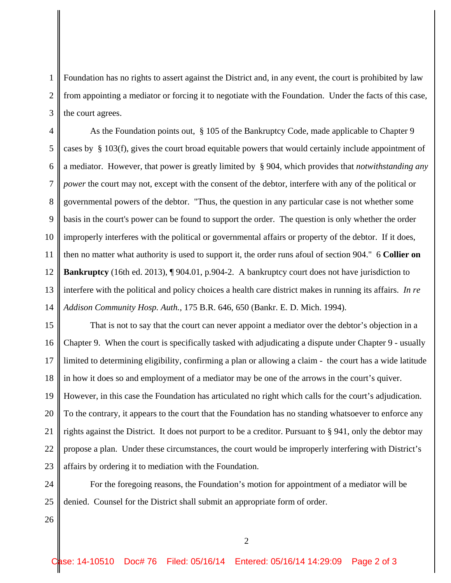1 2 3 Foundation has no rights to assert against the District and, in any event, the court is prohibited by law from appointing a mediator or forcing it to negotiate with the Foundation. Under the facts of this case, the court agrees.

4 5 6 7 8 9 10 11 12 13 14 As the Foundation points out, § 105 of the Bankruptcy Code, made applicable to Chapter 9 cases by § 103(f), gives the court broad equitable powers that would certainly include appointment of a mediator. However, that power is greatly limited by § 904, which provides that *notwithstanding any power* the court may not, except with the consent of the debtor, interfere with any of the political or governmental powers of the debtor. "Thus, the question in any particular case is not whether some basis in the court's power can be found to support the order. The question is only whether the order improperly interferes with the political or governmental affairs or property of the debtor. If it does, then no matter what authority is used to support it, the order runs afoul of section 904." 6 **Collier on Bankruptcy** (16th ed. 2013), ¶ 904.01, p.904-2. A bankruptcy court does not have jurisdiction to interfere with the political and policy choices a health care district makes in running its affairs. *In re Addison Community Hosp. Auth.*, 175 B.R. 646, 650 (Bankr. E. D. Mich. 1994).

15 16 17 18 19 20 21 22 23 That is not to say that the court can never appoint a mediator over the debtor's objection in a Chapter 9. When the court is specifically tasked with adjudicating a dispute under Chapter 9 - usually limited to determining eligibility, confirming a plan or allowing a claim - the court has a wide latitude in how it does so and employment of a mediator may be one of the arrows in the court's quiver. However, in this case the Foundation has articulated no right which calls for the court's adjudication. To the contrary, it appears to the court that the Foundation has no standing whatsoever to enforce any rights against the District. It does not purport to be a creditor. Pursuant to § 941, only the debtor may propose a plan. Under these circumstances, the court would be improperly interfering with District's affairs by ordering it to mediation with the Foundation.

24 25 For the foregoing reasons, the Foundation's motion for appointment of a mediator will be denied. Counsel for the District shall submit an appropriate form of order.

26